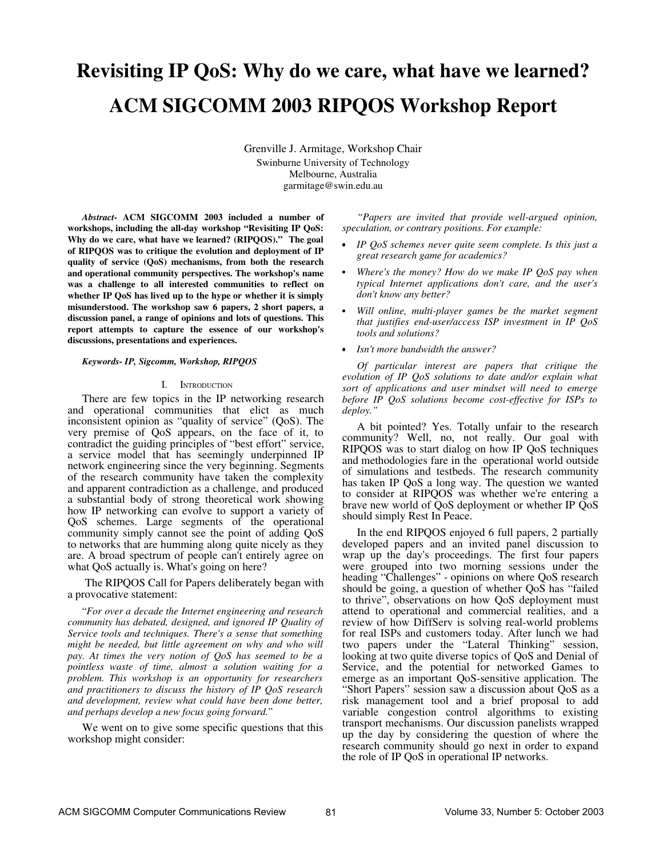# **Revisiting IP QoS: Why do we care, what have we learned? ACM SIGCOMM 2003 RIPQOS Workshop Report**

Grenville J. Armitage, Workshop Chair Swinburne University of Technology Melbourne, Australia garmitage@swin.edu.au

*Abstract***- ACM SIGCOMM 2003 included a number of workshops, including the all-day workshop "Revisiting IP QoS: Why do we care, what have we learned? (RIPQOS)." The goal of RIPQOS was to critique the evolution and deployment of IP quality of service (QoS) mechanisms, from both the research and operational community perspectives. The workshop's name was a challenge to all interested communities to reflect on whether IP QoS has lived up to the hype or whether it is simply misunderstood. The workshop saw 6 papers, 2 short papers, a discussion panel, a range of opinions and lots of questions. This report attempts to capture the essence of our workshop's discussions, presentations and experiences.**

#### *Keywords- IP, Sigcomm, Workshop, RIPQOS*

#### I. INTRODUCTION

There are few topics in the IP networking research and operational communities that elict as much inconsistent opinion as "quality of service" (QoS). The very premise of QoS appears, on the face of it, to contradict the guiding principles of "best effort" service, a service model that has seemingly underpinned IP network engineering since the very beginning. Segments of the research community have taken the complexity and apparent contradiction as a challenge, and produced a substantial body of strong theoretical work showing how IP networking can evolve to support a variety of QoS schemes. Large segments of the operational community simply cannot see the point of adding QoS to networks that are humming along quite nicely as they are. A broad spectrum of people can't entirely agree on what QoS actually is. What's going on here?

 The RIPQOS Call for Papers deliberately began with a provocative statement:

"*For over a decade the Internet engineering and research community has debated, designed, and ignored IP Quality of Service tools and techniques. There's a sense that something might be needed, but little agreement on why and who will pay. At times the very notion of QoS has seemed to be a pointless waste of time, almost a solution waiting for a problem. This workshop is an opportunity for researchers and practitioners to discuss the history of IP QoS research and development, review what could have been done better, and perhaps develop a new focus going forward.*"

We went on to give some specific questions that this workshop might consider:

*"Papers are invited that provide well-argued opinion, speculation, or contrary positions. For example:* 

- *IP QoS schemes never quite seem complete. Is this just a great research game for academics?*
- *Where's the money? How do we make IP QoS pay when typical Internet applications don't care, and the user's don't know any better?*
- *Will online, multi-player games be the market segment that justifies end-user/access ISP investment in IP QoS tools and solutions?*
- *Isn't more bandwidth the answer?*

*Of particular interest are papers that critique the evolution of IP QoS solutions to date and/or explain what sort of applications and user mindset will need to emerge before IP QoS solutions become cost-effective for ISPs to deploy."*

A bit pointed? Yes. Totally unfair to the research community? Well, no, not really. Our goal with RIPQOS was to start dialog on how IP QoS techniques and methodologies fare in the operational world outside of simulations and testbeds. The research community has taken IP QoS a long way. The question we wanted to consider at RIPQOS was whether we're entering a brave new world of QoS deployment or whether IP QoS should simply Rest In Peace.

In the end RIPQOS enjoyed 6 full papers, 2 partially developed papers and an invited panel discussion to wrap up the day's proceedings. The first four papers were grouped into two morning sessions under the heading "Challenges" - opinions on where QoS research should be going, a question of whether QoS has "failed to thrive", observations on how QoS deployment must attend to operational and commercial realities, and a review of how DiffServ is solving real-world problems for real ISPs and customers today. After lunch we had two papers under the "Lateral Thinking" session, looking at two quite diverse topics of QoS and Denial of Service, and the potential for networked Games to emerge as an important QoS-sensitive application. The "Short Papers" session saw a discussion about QoS as a risk management tool and a brief proposal to add variable congestion control algorithms to existing transport mechanisms. Our discussion panelists wrapped up the day by considering the question of where the research community should go next in order to expand the role of IP QoS in operational IP networks.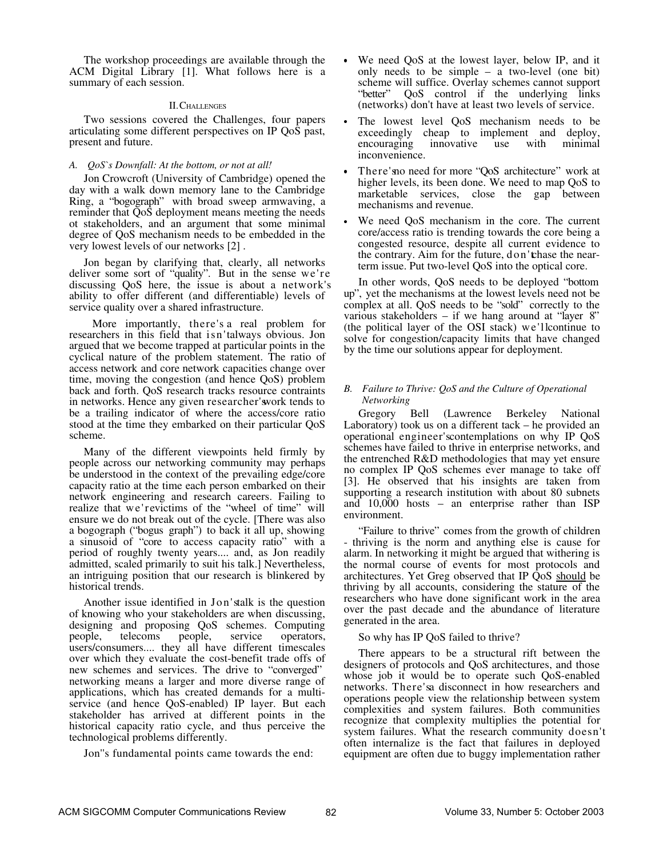The workshop proceedings are available through the ACM Digital Library [1]. What follows here is a summary of each session.

#### II.CHALLENGES

Two sessions covered the Challenges, four papers articulating some different perspectives on IP QoS past, present and future.

#### *A. QoS`s Downfall: At the bottom, or not at all!*

Jon Crowcroft (University of Cambridge) opened the day with a walk down memory lane to the Cambridge Ring, a "bogograph" with broad sweep armwaving, a reminder that QoS deployment means meeting the needs ot stakeholders, and an argument that some minimal degree of QoS mechanism needs to be embedded in the very lowest levels of our networks [2] .

Jon began by clarifying that, clearly, all networks deliver some sort of "quality". But in the sense we're discussing QoS here, the issue is about a network's ability to offer different (and differentiable) levels of service quality over a shared infrastructure.

More importantly, there's a real problem for researchers in this field that isn'talways obvious. Jon argued that we become trapped at particular points in the cyclical nature of the problem statement. The ratio of access network and core network capacities change over time, moving the congestion (and hence QoS) problem back and forth. QoS research tracks resource contraints in networks. Hence any given researcher'swork tends to be a trailing indicator of where the access/core ratio stood at the time they embarked on their particular QoS scheme.

Many of the different viewpoints held firmly by people across our networking community may perhaps be understood in the context of the prevailing edge/core capacity ratio at the time each person embarked on their network engineering and research careers. Failing to realize that we'revictims of the "wheel of time" will ensure we do not break out of the cycle. [There was also a bogograph ("bogus graph") to back it all up, showing a sinusoid of "core to access capacity ratio" with a period of roughly twenty years.... and, as Jon readily admitted, scaled primarily to suit his talk.] Nevertheless, an intriguing position that our research is blinkered by historical trends.

Another issue identified in Jon'stalk is the question of knowing who your stakeholders are when discussing, designing and proposing QoS schemes. Computing people, telecoms people, service operators, users/consumers.... they all have different timescales over which they evaluate the cost-benefit trade offs of new schemes and services. The drive to "converged" networking means a larger and more diverse range of applications, which has created demands for a multiservice (and hence QoS-enabled) IP layer. But each stakeholder has arrived at different points in the historical capacity ratio cycle, and thus perceive the technological problems differently.

Jon''s fundamental points came towards the end:

- We need QoS at the lowest layer, below IP, and it only needs to be simple – a two-level (one bit) scheme will suffice. Overlay schemes cannot support<br>
"better" OoS control if the underlying links QoS control if the underlying links (networks) don't have at least two levels of service.
- The lowest level QoS mechanism needs to be exceedingly cheap to implement and deploy, encouraging innovative use with minimal inconvenience.
- There'sno need for more "QoS architecture" work at higher levels, its been done. We need to map QoS to marketable services, close the gap between mechanisms and revenue.
- We need QoS mechanism in the core. The current core/access ratio is trending towards the core being a congested resource, despite all current evidence to the contrary. Aim for the future, don'tchase the nearterm issue. Put two-level QoS into the optical core.

In other words, QoS needs to be deployed "bottom up", yet the mechanisms at the lowest levels need not be complex at all. QoS needs to be "sold" correctly to the various stakeholders – if we hang around at "layer 8" (the political layer of the OSI stack) we'llcontinue to solve for congestion/capacity limits that have changed by the time our solutions appear for deployment.

## *B. Failure to Thrive: QoS and the Culture of Operational Networking*

Gregory Bell (Lawrence Berkeley National Laboratory) took us on a different tack – he provided an operational engineer'scontemplations on why IP QoS schemes have failed to thrive in enterprise networks, and the entrenched R&D methodologies that may yet ensure no complex IP QoS schemes ever manage to take off [3]. He observed that his insights are taken from supporting a research institution with about 80 subnets and 10,000 hosts – an enterprise rather than ISP environment.

"Failure to thrive" comes from the growth of children - thriving is the norm and anything else is cause for alarm. In networking it might be argued that withering is the normal course of events for most protocols and architectures. Yet Greg observed that IP  $\overline{Q}$  oS should be thriving by all accounts, considering the stature of the researchers who have done significant work in the area over the past decade and the abundance of literature generated in the area.

So why has IP QoS failed to thrive?

There appears to be a structural rift between the designers of protocols and QoS architectures, and those whose job it would be to operate such QoS-enabled networks. There'sa disconnect in how researchers and operations people view the relationship between system complexities and system failures. Both communities recognize that complexity multiplies the potential for system failures. What the research community doesn't often internalize is the fact that failures in deployed equipment are often due to buggy implementation rather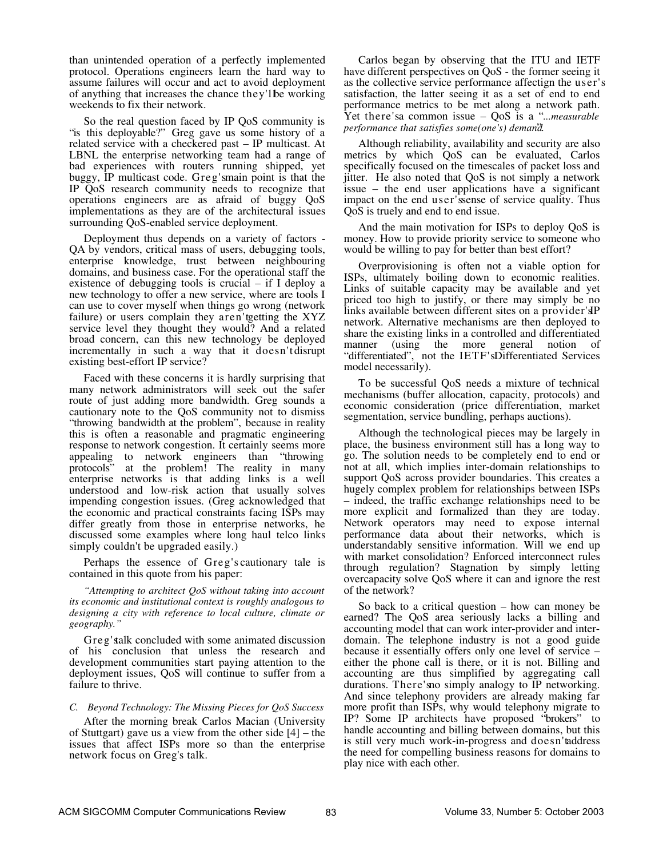than unintended operation of a perfectly implemented protocol. Operations engineers learn the hard way to assume failures will occur and act to avoid deployment of anything that increases the chance they'llbe working weekends to fix their network.

So the real question faced by IP QoS community is "is this deployable?" Greg gave us some history of a related service with a checkered past – IP multicast. At LBNL the enterprise networking team had a range of bad experiences with routers running shipped, yet buggy, IP multicast code. Greg'smain point is that the IP QoS research community needs to recognize that operations engineers are as afraid of buggy QoS implementations as they are of the architectural issues surrounding QoS-enabled service deployment.

Deployment thus depends on a variety of factors - QA by vendors, critical mass of users, debugging tools, enterprise knowledge, trust between neighbouring domains, and business case. For the operational staff the existence of debugging tools is crucial – if I deploy a new technology to offer a new service, where are tools I can use to cover myself when things go wrong (network failure) or users complain they aren'tgetting the XYZ service level they thought they would? And a related broad concern, can this new technology be deployed incrementally in such a way that it doesn't disrupt existing best-effort IP service?

Faced with these concerns it is hardly surprising that many network administrators will seek out the safer route of just adding more bandwidth. Greg sounds a cautionary note to the QoS community not to dismiss "throwing bandwidth at the problem", because in reality this is often a reasonable and pragmatic engineering response to network congestion. It certainly seems more appealing to network engineers than "throwing protocols" at the problem! The reality in many enterprise networks is that adding links is a well understood and low-risk action that usually solves impending congestion issues. (Greg acknowledged that the economic and practical constraints facing ISPs may differ greatly from those in enterprise networks, he discussed some examples where long haul telco links simply couldn't be upgraded easily.)

Perhaps the essence of Greg's cautionary tale is contained in this quote from his paper:

*"Attempting to architect QoS without taking into account its economic and institutional context is roughly analogous to designing a city with reference to local culture, climate or geography."*

Greg'stalk concluded with some animated discussion of his conclusion that unless the research and development communities start paying attention to the deployment issues, QoS will continue to suffer from a failure to thrive.

*C. Beyond Technology: The Missing Pieces for QoS Success* After the morning break Carlos Macian (University of Stuttgart) gave us a view from the other side [4] – the issues that affect ISPs more so than the enterprise network focus on Greg's talk.

Carlos began by observing that the ITU and IETF have different perspectives on QoS - the former seeing it as the collective service performance affectign the user's satisfaction, the latter seeing it as a set of end to end performance metrics to be met along a network path. Yet there'sa common issue – QoS is a "*...measurable performance that satisfies some(one's) demand.* 

Although reliability, availability and security are also metrics by which QoS can be evaluated, Carlos specifically focused on the timescales of packet loss and jitter. He also noted that QoS is not simply a network issue – the end user applications have a significant impact on the end user'ssense of service quality. Thus QoS is truely and end to end issue.

And the main motivation for ISPs to deploy QoS is money. How to provide priority service to someone who would be willing to pay for better than best effort?

Overprovisioning is often not a viable option for ISPs, ultimately boiling down to economic realities. Links of suitable capacity may be available and yet priced too high to justify, or there may simply be no links available between different sites on a provider'sIP network. Alternative mechanisms are then deployed to share the existing links in a controlled and differentiated manner (using the more general notion of "differentiated", not the IETF'sDifferentiated Services model necessarily).

To be successful QoS needs a mixture of technical mechanisms (buffer allocation, capacity, protocols) and economic consideration (price differentiation, market segmentation, service bundling, perhaps auctions).

Although the technological pieces may be largely in place, the business environment still has a long way to go. The solution needs to be completely end to end or not at all, which implies inter-domain relationships to support QoS across provider boundaries. This creates a hugely complex problem for relationships between ISPs – indeed, the traffic exchange relationships need to be more explicit and formalized than they are today. Network operators may need to expose internal performance data about their networks, which is understandably sensitive information. Will we end up with market consolidation? Enforced interconnect rules through regulation? Stagnation by simply letting overcapacity solve QoS where it can and ignore the rest of the network?

So back to a critical question – how can money be earned? The QoS area seriously lacks a billing and accounting model that can work inter-provider and interdomain. The telephone industry is not a good guide because it essentially offers only one level of service – either the phone call is there, or it is not. Billing and accounting are thus simplified by aggregating call durations. There'sno simply analogy to IP networking. And since telephony providers are already making far more profit than ISPs, why would telephony migrate to IP? Some IP architects have proposed "brokers" to handle accounting and billing between domains, but this is still very much work-in-progress and doesn'taddress the need for compelling business reasons for domains to play nice with each other.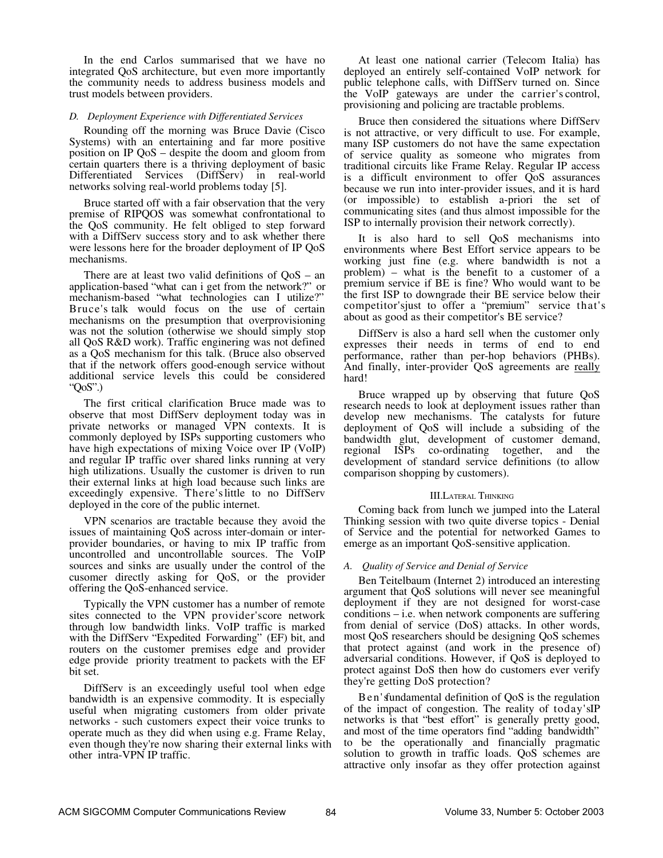In the end Carlos summarised that we have no integrated QoS architecture, but even more importantly the community needs to address business models and trust models between providers.

# *D. Deployment Experience with Differentiated Services*

Rounding off the morning was Bruce Davie (Cisco Systems) with an entertaining and far more positive position on IP QoS – despite the doom and gloom from certain quarters there is a thriving deployment of basic Differentiated Services (DiffServ) in real-world networks solving real-world problems today [5].

Bruce started off with a fair observation that the very premise of RIPQOS was somewhat confrontational to the QoS community. He felt obliged to step forward with a DiffServ success story and to ask whether there were lessons here for the broader deployment of IP QoS mechanisms.

There are at least two valid definitions of  $QoS - an$ application-based "what can i get from the network?" or mechanism-based "what technologies can I utilize?" Bruce's talk would focus on the use of certain mechanisms on the presumption that overprovisioning was not the solution (otherwise we should simply stop all QoS R&D work). Traffic enginering was not defined as a QoS mechanism for this talk. (Bruce also observed that if the network offers good-enough service without additional service levels this could be considered "QoS".)

The first critical clarification Bruce made was to observe that most DiffServ deployment today was in private networks or managed VPN contexts. It is commonly deployed by ISPs supporting customers who have high expectations of mixing Voice over IP (VoIP) and regular IP traffic over shared links running at very high utilizations. Usually the customer is driven to run their external links at high load because such links are exceedingly expensive. There's little to no DiffServ deployed in the core of the public internet.

VPN scenarios are tractable because they avoid the issues of maintaining QoS across inter-domain or interprovider boundaries, or having to mix IP traffic from uncontrolled and uncontrollable sources. The VoIP sources and sinks are usually under the control of the cusomer directly asking for QoS, or the provider offering the QoS-enhanced service.

Typically the VPN customer has a number of remote sites connected to the VPN provider'score network through low bandwidth links. VoIP traffic is marked with the DiffServ "Expedited Forwarding" (EF) bit, and routers on the customer premises edge and provider edge provide priority treatment to packets with the EF bit set.

DiffServ is an exceedingly useful tool when edge bandwidth is an expensive commodity. It is especially useful when migrating customers from older private networks - such customers expect their voice trunks to operate much as they did when using e.g. Frame Relay, even though they're now sharing their external links with other intra-VPN IP traffic.

At least one national carrier (Telecom Italia) has deployed an entirely self-contained VoIP network for public telephone calls, with DiffServ turned on. Since the VoIP gateways are under the carrier's control, provisioning and policing are tractable problems.

Bruce then considered the situations where DiffServ is not attractive, or very difficult to use. For example, many ISP customers do not have the same expectation of service quality as someone who migrates from traditional circuits like Frame Relay. Regular IP access is a difficult environment to offer QoS assurances because we run into inter-provider issues, and it is hard (or impossible) to establish a-priori the set of communicating sites (and thus almost impossible for the ISP to internally provision their network correctly).

It is also hard to sell QoS mechanisms into environments where Best Effort service appears to be working just fine (e.g. where bandwidth is not a problem) – what is the benefit to a customer of a premium service if BE is fine? Who would want to be the first ISP to downgrade their BE service below their competitor'sjust to offer a "premium" service that's about as good as their competitor's BE service?

DiffServ is also a hard sell when the customer only expresses their needs in terms of end to end performance, rather than per-hop behaviors (PHBs). And finally, inter-provider QoS agreements are really hard!

Bruce wrapped up by observing that future QoS research needs to look at deployment issues rather than develop new mechanisms. The catalysts for future deployment of QoS will include a subsiding of the bandwidth glut, development of customer demand, regional ISPs co-ordinating together, and the development of standard service definitions (to allow comparison shopping by customers).

## III.LATERAL THINKING

Coming back from lunch we jumped into the Lateral Thinking session with two quite diverse topics - Denial of Service and the potential for networked Games to emerge as an important QoS-sensitive application.

## *A. Quality of Service and Denial of Service*

Ben Teitelbaum (Internet 2) introduced an interesting argument that QoS solutions will never see meaningful deployment if they are not designed for worst-case conditions – i.e. when network components are suffering from denial of service (DoS) attacks. In other words, most QoS researchers should be designing QoS schemes that protect against (and work in the presence of) adversarial conditions. However, if QoS is deployed to protect against DoS then how do customers ever verify they're getting DoS protection?

Ben'sfundamental definition of QoS is the regulation of the impact of congestion. The reality of today'sIP networks is that "best effort" is generally pretty good, and most of the time operators find "adding bandwidth" to be the operationally and financially pragmatic solution to growth in traffic loads. QoS schemes are attractive only insofar as they offer protection against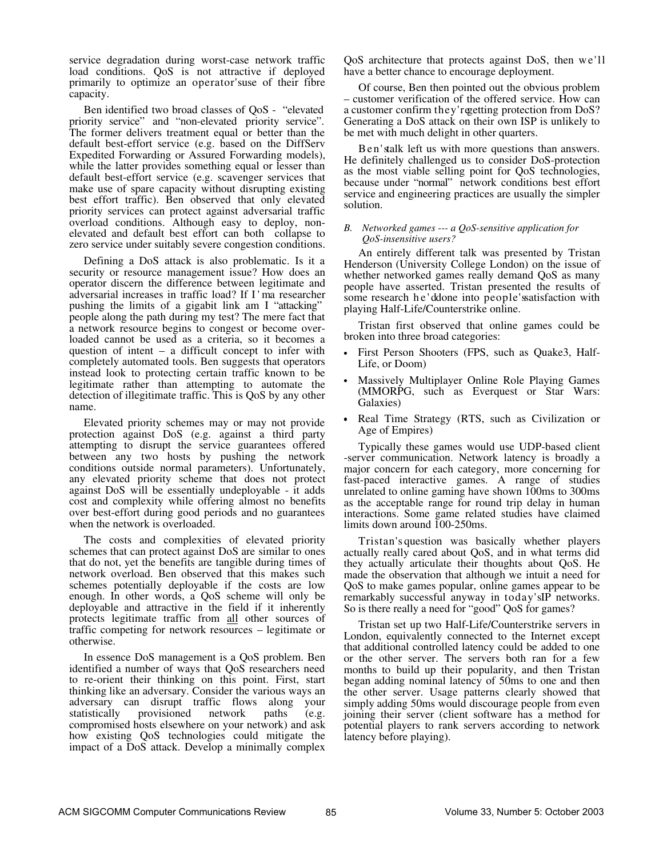service degradation during worst-case network traffic load conditions. QoS is not attractive if deployed primarily to optimize an operator'suse of their fibre capacity.

Ben identified two broad classes of QoS - "elevated priority service" and "non-elevated priority service". The former delivers treatment equal or better than the default best-effort service (e.g. based on the DiffServ Expedited Forwarding or Assured Forwarding models), while the latter provides something equal or lesser than default best-effort service (e.g. scavenger services that make use of spare capacity without disrupting existing best effort traffic). Ben observed that only elevated priority services can protect against adversarial traffic overload conditions. Although easy to deploy, nonelevated and default best effort can both collapse to zero service under suitably severe congestion conditions.

Defining a DoS attack is also problematic. Is it a security or resource management issue? How does an operator discern the difference between legitimate and adversarial increases in traffic load? If I ' ma researcher pushing the limits of a gigabit link am I "attacking" people along the path during my test? The mere fact that a network resource begins to congest or become overloaded cannot be used as a criteria, so it becomes a question of intent – a difficult concept to infer with completely automated tools. Ben suggests that operators instead look to protecting certain traffic known to be legitimate rather than attempting to automate the detection of illegitimate traffic. This is QoS by any other name.

Elevated priority schemes may or may not provide protection against DoS (e.g. against a third party attempting to disrupt the service guarantees offered between any two hosts by pushing the network conditions outside normal parameters). Unfortunately, any elevated priority scheme that does not protect against DoS will be essentially undeployable - it adds cost and complexity while offering almost no benefits over best-effort during good periods and no guarantees when the network is overloaded.

The costs and complexities of elevated priority schemes that can protect against DoS are similar to ones that do not, yet the benefits are tangible during times of network overload. Ben observed that this makes such schemes potentially deployable if the costs are low enough. In other words, a QoS scheme will only be deployable and attractive in the field if it inherently protects legitimate traffic from all other sources of traffic competing for network resources – legitimate or otherwise.

In essence DoS management is a QoS problem. Ben identified a number of ways that QoS researchers need to re-orient their thinking on this point. First, start thinking like an adversary. Consider the various ways an adversary can disrupt traffic flows along your statistically provisioned network paths (e.g. compromised hosts elsewhere on your network) and ask how existing QoS technologies could mitigate the impact of a DoS attack. Develop a minimally complex

QoS architecture that protects against DoS, then we'll have a better chance to encourage deployment.

Of course, Ben then pointed out the obvious problem – customer verification of the offered service. How can a customer confirm they'regetting protection from DoS? Generating a DoS attack on their own ISP is unlikely to be met with much delight in other quarters.

Ben'stalk left us with more questions than answers. He definitely challenged us to consider DoS-protection as the most viable selling point for QoS technologies, because under "normal" network conditions best effort service and engineering practices are usually the simpler solution.

## *B. Networked games --- a QoS-sensitive application for QoS-insensitive users?*

An entirely different talk was presented by Tristan Henderson (University College London) on the issue of whether networked games really demand QoS as many people have asserted. Tristan presented the results of some research he 'ddone into people's atisfaction with playing Half-Life/Counterstrike online.

Tristan first observed that online games could be broken into three broad categories:

- First Person Shooters (FPS, such as Quake3, Half-Life, or Doom)
- Massively Multiplayer Online Role Playing Games (MMORPG, such as Everquest or Star Wars: Galaxies)
- Real Time Strategy (RTS, such as Civilization or Age of Empires)

Typically these games would use UDP-based client -server communication. Network latency is broadly a major concern for each category, more concerning for fast-paced interactive games. A range of studies unrelated to online gaming have shown 100ms to 300ms as the acceptable range for round trip delay in human interactions. Some game related studies have claimed limits down around 100-250ms.

Tristan's question was basically whether players actually really cared about QoS, and in what terms did they actually articulate their thoughts about QoS. He made the observation that although we intuit a need for QoS to make games popular, online games appear to be remarkably successful anyway in today'sIP networks. So is there really a need for "good" QoS for games?

Tristan set up two Half-Life/Counterstrike servers in London, equivalently connected to the Internet except that additional controlled latency could be added to one or the other server. The servers both ran for a few months to build up their popularity, and then Tristan began adding nominal latency of 50ms to one and then the other server. Usage patterns clearly showed that simply adding 50ms would discourage people from even joining their server (client software has a method for potential players to rank servers according to network latency before playing).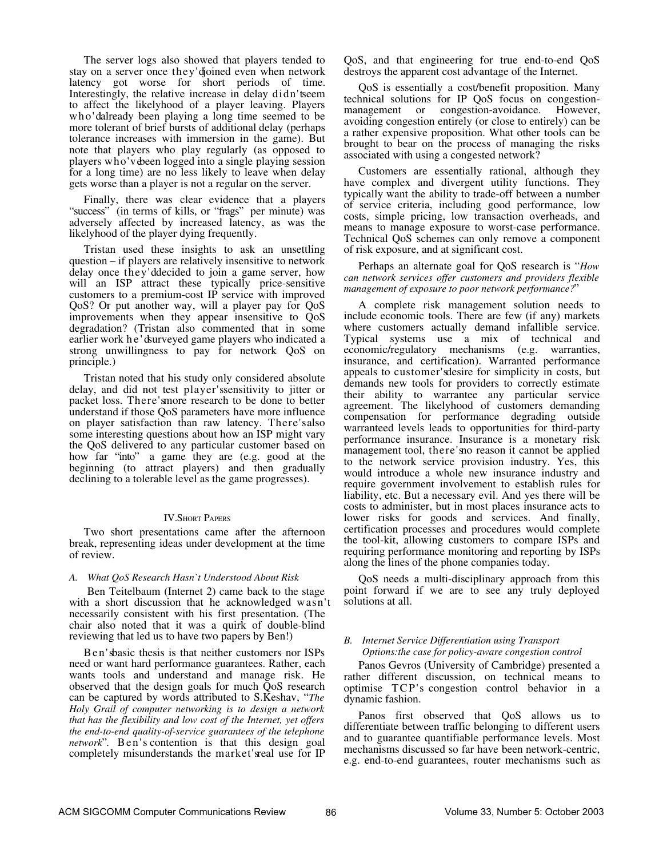The server logs also showed that players tended to stay on a server once they'djoined even when network latency got worse for short periods of time. Interestingly, the relative increase in delay didn'tseem to affect the likelyhood of a player leaving. Players who'dalready been playing a long time seemed to be more tolerant of brief bursts of additional delay (perhaps tolerance increases with immersion in the game). But note that players who play regularly (as opposed to players who'vebeen logged into a single playing session for a long time) are no less likely to leave when delay gets worse than a player is not a regular on the server.

Finally, there was clear evidence that a players "success" (in terms of kills, or "frags" per minute) was adversely affected by increased latency, as was the likelyhood of the player dying frequently.

Tristan used these insights to ask an unsettling question – if players are relatively insensitive to network delay once they'ddecided to join a game server, how will an ISP attract these typically price-sensitive customers to a premium-cost IP service with improved QoS? Or put another way, will a player pay for QoS improvements when they appear insensitive to QoS degradation? (Tristan also commented that in some earlier work h e ' dsurveyed game players who indicated a strong unwillingness to pay for network QoS on principle.)

Tristan noted that his study only considered absolute delay, and did not test player'ssensitivity to jitter or packet loss. There'smore research to be done to better understand if those QoS parameters have more influence on player satisfaction than raw latency. There'salso some interesting questions about how an ISP might vary the QoS delivered to any particular customer based on how far "into" a game they are (e.g. good at the beginning (to attract players) and then gradually declining to a tolerable level as the game progresses).

## IV.SHORT PAPERS

Two short presentations came after the afternoon break, representing ideas under development at the time of review.

#### *A. What QoS Research Hasn`t Understood About Risk*

Ben Teitelbaum (Internet 2) came back to the stage with a short discussion that he acknowledged wasn't necessarily consistent with his first presentation. (The chair also noted that it was a quirk of double-blind reviewing that led us to have two papers by Ben!)

Ben'sbasic thesis is that neither customers nor ISPs need or want hard performance guarantees. Rather, each wants tools and understand and manage risk. He observed that the design goals for much QoS research can be captured by words attributed to S.Keshav, "*The Holy Grail of computer networking is to design a network that has the flexibility and low cost of the Internet, yet offers the end-to-end quality-of-service guarantees of the telephone network*". Ben's contention is that this design goal completely misunderstands the market'sreal use for IP QoS, and that engineering for true end-to-end QoS destroys the apparent cost advantage of the Internet.

QoS is essentially a cost/benefit proposition. Many technical solutions for IP QoS focus on congestionmanagement or congestion-avoidance. However, avoiding congestion entirely (or close to entirely) can be a rather expensive proposition. What other tools can be brought to bear on the process of managing the risks associated with using a congested network?

Customers are essentially rational, although they have complex and divergent utility functions. They typically want the ability to trade-off between a number of service criteria, including good performance, low costs, simple pricing, low transaction overheads, and means to manage exposure to worst-case performance. Technical QoS schemes can only remove a component of risk exposure, and at significant cost.

Perhaps an alternate goal for QoS research is "*How can network services offer customers and providers flexible management of exposure to poor network performance?*"

A complete risk management solution needs to include economic tools. There are few (if any) markets where customers actually demand infallible service. Typical systems use a mix of technical and economic/regulatory mechanisms (e.g. warranties, insurance, and certification). Warranted performance appeals to customer'sdesire for simplicity in costs, but demands new tools for providers to correctly estimate their ability to warrantee any particular service agreement. The likelyhood of customers demanding compensation for performance degrading outside warranteed levels leads to opportunities for third-party performance insurance. Insurance is a monetary risk management tool, there'sno reason it cannot be applied to the network service provision industry. Yes, this would introduce a whole new insurance industry and require government involvement to establish rules for liability, etc. But a necessary evil. And yes there will be costs to administer, but in most places insurance acts to lower risks for goods and services. And finally, certification processes and procedures would complete the tool-kit, allowing customers to compare ISPs and requiring performance monitoring and reporting by ISPs along the lines of the phone companies today.

QoS needs a multi-disciplinary approach from this point forward if we are to see any truly deployed solutions at all.

## *B. Internet Service Differentiation using Transport Options:the case for policy-aware congestion control*

Panos Gevros (University of Cambridge) presented a rather different discussion, on technical means to optimise TCP's congestion control behavior in a dynamic fashion.

Panos first observed that QoS allows us to differentiate between traffic belonging to different users and to guarantee quantifiable performance levels. Most mechanisms discussed so far have been network-centric, e.g. end-to-end guarantees, router mechanisms such as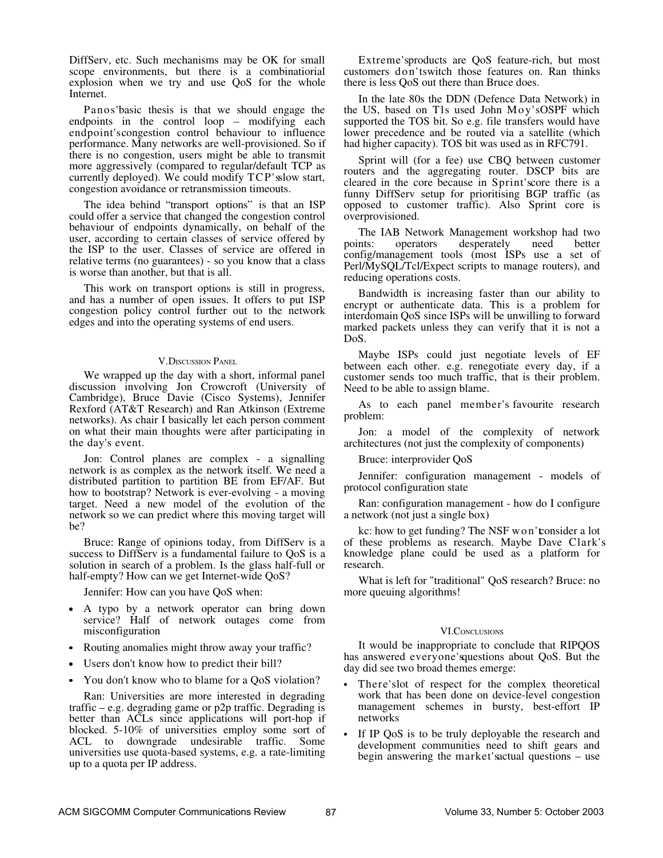DiffServ, etc. Such mechanisms may be OK for small scope environments, but there is a combinatiorial explosion when we try and use QoS for the whole Internet.

Panos'basic thesis is that we should engage the endpoints in the control loop – modifying each endpoint'scongestion control behaviour to influence performance. Many networks are well-provisioned. So if there is no congestion, users might be able to transmit more aggressively (compared to regular/default TCP as currently deployed). We could modify TCP'sslow start, congestion avoidance or retransmission timeouts.

The idea behind "transport options" is that an ISP could offer a service that changed the congestion control behaviour of endpoints dynamically, on behalf of the user, according to certain classes of service offered by the ISP to the user. Classes of service are offered in relative terms (no guarantees) - so you know that a class is worse than another, but that is all.

This work on transport options is still in progress, and has a number of open issues. It offers to put ISP congestion policy control further out to the network edges and into the operating systems of end users.

## V.DISCUSSION PANEL

We wrapped up the day with a short, informal panel discussion involving Jon Crowcroft (University of Cambridge), Bruce Davie (Cisco Systems), Jennifer Rexford (AT&T Research) and Ran Atkinson (Extreme networks). As chair I basically let each person comment on what their main thoughts were after participating in the day's event.

Jon: Control planes are complex - a signalling network is as complex as the network itself. We need a distributed partition to partition BE from EF/AF. But how to bootstrap? Network is ever-evolving - a moving target. Need a new model of the evolution of the network so we can predict where this moving target will be?

Bruce: Range of opinions today, from DiffServ is a success to DiffServ is a fundamental failure to QoS is a solution in search of a problem. Is the glass half-full or half-empty? How can we get Internet-wide QoS?

Jennifer: How can you have QoS when:

- A typo by a network operator can bring down service? Half of network outages come from misconfiguration
- Routing anomalies might throw away your traffic?
- Users don't know how to predict their bill?
- You don't know who to blame for a QoS violation?

Ran: Universities are more interested in degrading traffic – e.g. degrading game or p2p traffic. Degrading is better than ACLs since applications will port-hop if blocked. 5-10% of universities employ some sort of ACL to downgrade undesirable traffic. Some universities use quota-based systems, e.g. a rate-limiting up to a quota per IP address.

Extreme'sproducts are QoS feature-rich, but most customers don'tswitch those features on. Ran thinks there is less QoS out there than Bruce does.

In the late 80s the DDN (Defence Data Network) in the US, based on T1s used John Moy'sOSPF which supported the TOS bit. So e.g. file transfers would have lower precedence and be routed via a satellite (which had higher capacity). TOS bit was used as in RFC791.

Sprint will (for a fee) use CBQ between customer routers and the aggregating router. DSCP bits are cleared in the core because in Sprint'score there is a funny DiffServ setup for prioritising BGP traffic (as opposed to customer traffic). Also Sprint core is overprovisioned.

The IAB Network Management workshop had two<br>points: operators desperately need better desperately need better config/management tools (most ISPs use a set of Perl/MySQL/Tcl/Expect scripts to manage routers), and reducing operations costs.

Bandwidth is increasing faster than our ability to encrypt or authenticate data. This is a problem for interdomain QoS since ISPs will be unwilling to forward marked packets unless they can verify that it is not a DoS.

Maybe ISPs could just negotiate levels of EF between each other. e.g. renegotiate every day, if a customer sends too much traffic, that is their problem. Need to be able to assign blame.

As to each panel member's favourite research problem:

Jon: a model of the complexity of network architectures (not just the complexity of components)

Bruce: interprovider QoS

Jennifer: configuration management - models of protocol configuration state

Ran: configuration management - how do I configure a network (not just a single box)

kc: how to get funding? The NSF won'tconsider a lot of these problems as research. Maybe Dave Clark's knowledge plane could be used as a platform for research.

What is left for "traditional" QoS research? Bruce: no more queuing algorithms!

#### VI.CONCLUSIONS

It would be inappropriate to conclude that RIPQOS has answered everyone'squestions about QoS. But the day did see two broad themes emerge:

- There'slot of respect for the complex theoretical work that has been done on device-level congestion management schemes in bursty, best-effort IP networks
- If IP QoS is to be truly deployable the research and development communities need to shift gears and begin answering the market'sactual questions – use